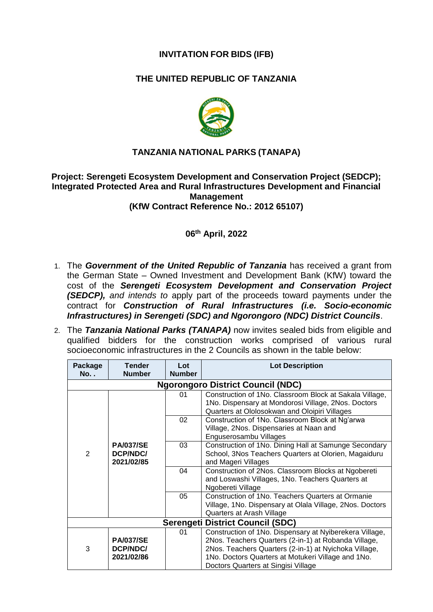# **INVITATION FOR BIDS (IFB)**

# **THE UNITED REPUBLIC OF TANZANIA**



## **TANZANIA NATIONAL PARKS (TANAPA)**

#### **Project: Serengeti Ecosystem Development and Conservation Project (SEDCP); Integrated Protected Area and Rural Infrastructures Development and Financial Management (KfW Contract Reference No.: 2012 65107)**

### **06 th April, 2022**

- 1. The *Government of the United Republic of Tanzania* has received a grant from the German State – Owned Investment and Development Bank (KfW) toward the cost of the *Serengeti Ecosystem Development and Conservation Project (SEDCP), and intends to* apply part of the proceeds toward payments under the contract for *Construction of Rural Infrastructures (i.e. Socio-economic Infrastructures) in Serengeti (SDC) and Ngorongoro (NDC) District Councils*.
- 2. The *Tanzania National Parks (TANAPA)* now invites sealed bids from eligible and qualified bidders for the construction works comprised of various rural socioeconomic infrastructures in the 2 Councils as shown in the table below:

| Package<br><b>No.</b> .                  | <b>Tender</b><br><b>Number</b>             | Lot<br><b>Number</b> | <b>Lot Description</b>                                                                                                                                                                                                                                                |  |  |  |  |
|------------------------------------------|--------------------------------------------|----------------------|-----------------------------------------------------------------------------------------------------------------------------------------------------------------------------------------------------------------------------------------------------------------------|--|--|--|--|
| <b>Ngorongoro District Council (NDC)</b> |                                            |                      |                                                                                                                                                                                                                                                                       |  |  |  |  |
| $\overline{2}$                           | <b>PA/037/SE</b><br>DCP/NDC/<br>2021/02/85 | 01                   | Construction of 1No. Classroom Block at Sakala Village,<br>1No. Dispensary at Mondorosi Village, 2Nos. Doctors<br>Quarters at Ololosokwan and Oloipiri Villages                                                                                                       |  |  |  |  |
|                                          |                                            | 02                   | Construction of 1No. Classroom Block at Ng'arwa<br>Village, 2Nos. Dispensaries at Naan and<br>Enguserosambu Villages                                                                                                                                                  |  |  |  |  |
|                                          |                                            | 03                   | Construction of 1No. Dining Hall at Samunge Secondary<br>School, 3Nos Teachers Quarters at Olorien, Magaiduru<br>and Mageri Villages                                                                                                                                  |  |  |  |  |
|                                          |                                            | 04                   | Construction of 2Nos. Classroom Blocks at Ngobereti<br>and Loswashi Villages, 1No. Teachers Quarters at<br>Ngobereti Village                                                                                                                                          |  |  |  |  |
|                                          |                                            | 05                   | Construction of 1No. Teachers Quarters at Ormanie<br>Village, 1No. Dispensary at Olala Village, 2Nos. Doctors<br>Quarters at Arash Village                                                                                                                            |  |  |  |  |
| <b>Serengeti District Council (SDC)</b>  |                                            |                      |                                                                                                                                                                                                                                                                       |  |  |  |  |
| 3                                        | <b>PA/037/SE</b><br>DCP/NDC/<br>2021/02/86 | 01                   | Construction of 1No. Dispensary at Nyiberekera Village,<br>2Nos. Teachers Quarters (2-in-1) at Robanda Village,<br>2Nos. Teachers Quarters (2-in-1) at Nyichoka Village,<br>1No. Doctors Quarters at Motukeri Village and 1No.<br>Doctors Quarters at Singisi Village |  |  |  |  |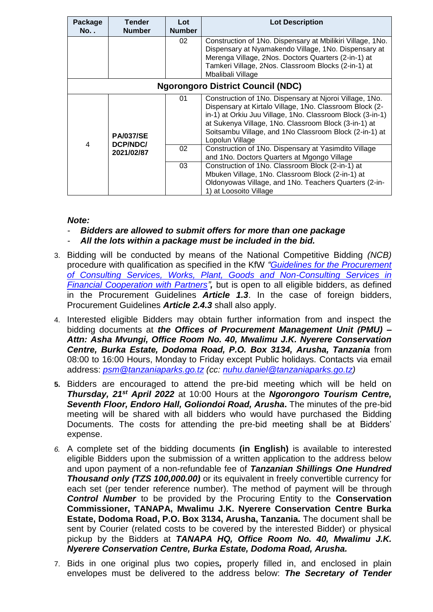| Package<br>No. .                         | <b>Tender</b><br><b>Number</b>             | Lot<br><b>Number</b> | <b>Lot Description</b>                                                                                                                                                                                                                                                                                               |  |  |  |  |
|------------------------------------------|--------------------------------------------|----------------------|----------------------------------------------------------------------------------------------------------------------------------------------------------------------------------------------------------------------------------------------------------------------------------------------------------------------|--|--|--|--|
|                                          |                                            | 02                   | Construction of 1No. Dispensary at Mbilikiri Village, 1No.<br>Dispensary at Nyamakendo Village, 1No. Dispensary at<br>Merenga Village, 2Nos. Doctors Quarters (2-in-1) at<br>Tamkeri Village, 2Nos. Classroom Blocks (2-in-1) at<br>Mbalibali Village                                                                |  |  |  |  |
| <b>Ngorongoro District Council (NDC)</b> |                                            |                      |                                                                                                                                                                                                                                                                                                                      |  |  |  |  |
| $\overline{4}$                           | <b>PA/037/SE</b><br>DCP/NDC/<br>2021/02/87 | 01                   | Construction of 1No. Dispensary at Njoroi Village, 1No.<br>Dispensary at Kirtalo Village, 1No. Classroom Block (2-<br>in-1) at Orkiu Juu Village, 1No. Classroom Block (3-in-1)<br>at Sukenya Village, 1No. Classroom Block (3-in-1) at<br>Soitsambu Village, and 1No Classroom Block (2-in-1) at<br>Lopolun Village |  |  |  |  |
|                                          |                                            | 02                   | Construction of 1No. Dispensary at Yasimdito Village<br>and 1No. Doctors Quarters at Mgongo Village                                                                                                                                                                                                                  |  |  |  |  |
|                                          |                                            | 03                   | Construction of 1No. Classroom Block (2-in-1) at<br>Mbuken Village, 1No. Classroom Block (2-in-1) at<br>Oldonyowas Village, and 1No. Teachers Quarters (2-in-<br>1) at Loosoito Village                                                                                                                              |  |  |  |  |

*Note:* 

- *Bidders are allowed to submit offers for more than one package*
- All the lots within a package must be included in the bid.
- 3. Bidding will be conducted by means of the National Competitive Bidding *(NCB)* procedure with qualification as specified in the KfW *["Guidelines for the Procurement](https://www.kfw-entwicklungsbank.de/PDF/Download-Center/PDF-Dokumente-Richtlinien/Vergaberichtlinien-2019-Englisch-Internet_2.pdf)  [of Consulting Services, Works, Plant, Goods and Non-Consulting Services in](https://www.kfw-entwicklungsbank.de/PDF/Download-Center/PDF-Dokumente-Richtlinien/Vergaberichtlinien-2019-Englisch-Internet_2.pdf)  [Financial Cooperation with Partners"](https://www.kfw-entwicklungsbank.de/PDF/Download-Center/PDF-Dokumente-Richtlinien/Vergaberichtlinien-2019-Englisch-Internet_2.pdf),* but is open to all eligible bidders, as defined in the Procurement Guidelines *Article 1.3*. In the case of foreign bidders, Procurement Guidelines *Article 2.4.3* shall also apply.
- 4. Interested eligible Bidders may obtain further information from and inspect the bidding documents at *the Offices of Procurement Management Unit (PMU) – Attn: Asha Mvungi, Office Room No. 40, Mwalimu J.K. Nyerere Conservation Centre, Burka Estate, Dodoma Road, P.O. Box 3134, Arusha, Tanzania* from 08:00 to 16:00 Hours, Monday to Friday except Public holidays. Contacts via email address: *[psm@tanzaniaparks.go.tz](mailto:psm@tanzaniaparks.go.tz) (cc: [nuhu.daniel@tanzaniaparks.go.tz\)](mailto:nuhu.daniel@tanzaniaparks.go.tz)*
- **5.** Bidders are encouraged to attend the pre-bid meeting which will be held on *Thursday, 21st April 2022* at 10:00 Hours at the *Ngorongoro Tourism Centre, Seventh Floor, Endoro Hall, Goliondoi Road, Arusha***.** The minutes of the pre-bid meeting will be shared with all bidders who would have purchased the Bidding Documents. The costs for attending the pre-bid meeting shall be at Bidders' expense.
- *6.* A complete set of the bidding documents **(in English)** is available to interested eligible Bidders upon the submission of a written application to the address below and upon payment of a non-refundable fee of *Tanzanian Shillings One Hundred Thousand only (TZS 100,000.00)* or its equivalent in freely convertible currency for each set (per tender reference number). The method of payment will be through *Control Number* to be provided by the Procuring Entity to the **Conservation Commissioner, TANAPA, Mwalimu J.K. Nyerere Conservation Centre Burka Estate, Dodoma Road, P.O. Box 3134, Arusha, Tanzania.** The document shall be sent by Courier (related costs to be covered by the interested Bidder) or physical pickup by the Bidders at *TANAPA HQ, Office Room No. 40, [Mwalimu J.K.](http://www.google.com/url?sa=t&rct=j&q=&esrc=s&source=web&cd=2&cad=rja&uact=8&ved=0ahUKEwic1bnlvq_XAhXCbRQKHXr6BYMQFggtMAE&url=http%3A%2F%2Fwww.juliusnyerere.org%2Fabout%2Fcategory%2Fnyerere_philosophy&usg=AOvVaw1q6nw5A7ghqLynkUMPA9fK)  [Nyerere Conservation C](http://www.google.com/url?sa=t&rct=j&q=&esrc=s&source=web&cd=2&cad=rja&uact=8&ved=0ahUKEwic1bnlvq_XAhXCbRQKHXr6BYMQFggtMAE&url=http%3A%2F%2Fwww.juliusnyerere.org%2Fabout%2Fcategory%2Fnyerere_philosophy&usg=AOvVaw1q6nw5A7ghqLynkUMPA9fK)entre, Burka Estate, Dodoma Road, Arusha.*
- 7. Bids in one original plus two copies*,* properly filled in, and enclosed in plain envelopes must be delivered to the address below: *The Secretary of Tender*